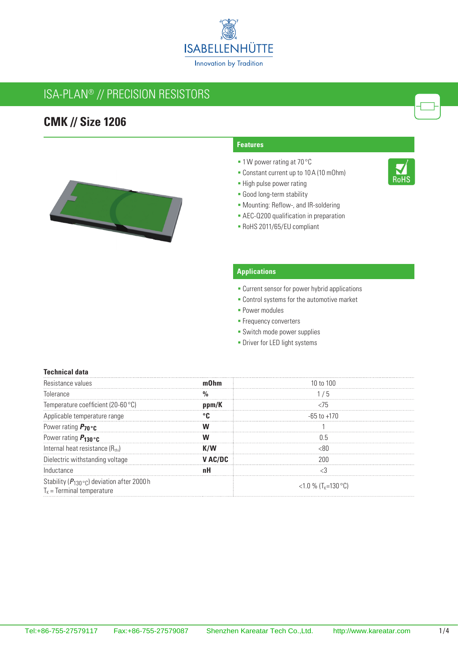

## ISA-PLAN® // Precision resistors

## **CMK // Size 1206**



# 

## **Features**

- 1W power rating at 70 °C
- Constant current up to 10A (10 mOhm)
- **-** High pulse power rating
- Good long-term stability
- Mounting: Reflow-, and IR-soldering
- **AEC-Q200 qualification in preparation**
- RoHS 2011/65/EU compliant

## **Applications**

- **Current sensor for power hybrid applications**
- **Control systems for the automotive market**
- **Power modules**
- **Frequency converters**
- **-** Switch mode power supplies
- **-** Driver for LED light systems

#### **Technical data**

| fance values                                                                                  |                                 |
|-----------------------------------------------------------------------------------------------|---------------------------------|
| Tolerance                                                                                     | b                               |
| lemperature coefficient (20-60 °C)                                                            |                                 |
| Applicable temperature range                                                                  | -65 to +170                     |
| Power rating $P_{70}$ °c                                                                      |                                 |
| Power rating $P_{130}$ °C                                                                     |                                 |
| Internal heat resistance $(R_{\text{th}})$                                                    |                                 |
| Dielectric withstanding voltage                                                               |                                 |
| Inductance                                                                                    |                                 |
| Stability ( $P_{130}$ ° <sub>C</sub> ) deviation after 2000 h<br>$T_k$ = Terminal temperature | <1.0 % (T <sub>K</sub> =130 °C) |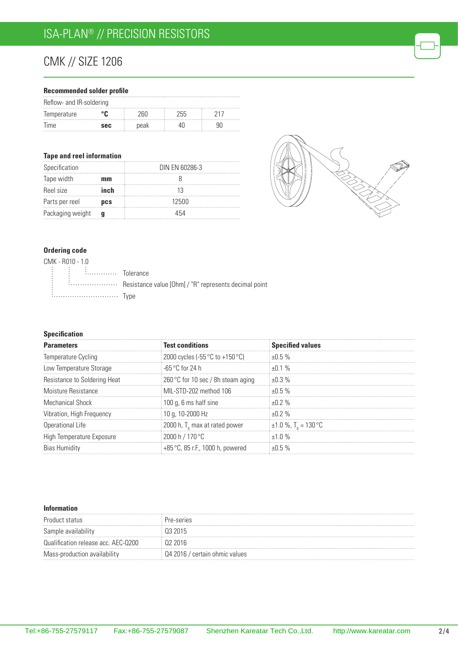# CMK // Size 1206

#### **Recommended solder profile**

| Reflow- and IR-soldering |            |      |      |  |  |
|--------------------------|------------|------|------|--|--|
| Temperature              |            | 76L) | 255. |  |  |
| lime                     | <b>SAC</b> | peak |      |  |  |

#### **Tape and reel information**

| Specification    |            | DIN EN 60286-3 |
|------------------|------------|----------------|
| Tape width       | mm         |                |
| Reel size        | inch       |                |
| Parts per reel   | <b>DCS</b> | 12500          |
| Packaging weight |            | 454            |



#### **Ordering code**

| CMK - R010 - 1.0                                                                                                                                                                                                                    |                                                           |
|-------------------------------------------------------------------------------------------------------------------------------------------------------------------------------------------------------------------------------------|-----------------------------------------------------------|
| $\begin{bmatrix} \vdots & \vdots & \vdots \end{bmatrix}$ $\begin{bmatrix} \vdots & \vdots & \vdots \end{bmatrix}$ $\begin{bmatrix} \vdots & \vdots & \vdots \end{bmatrix}$ $\begin{bmatrix} \vdots & \vdots & \vdots \end{bmatrix}$ |                                                           |
|                                                                                                                                                                                                                                     | : : Resistance value [Ohm] / "R" represents decimal point |
| <i>i</i> Type                                                                                                                                                                                                                       |                                                           |

## **Specification**

| <b>Parameters</b>            | <b>Test conditions</b>                            | <b>Specified values</b>              |
|------------------------------|---------------------------------------------------|--------------------------------------|
| Temperature Cycling          | 2000 cycles (-55 $\degree$ C to +150 $\degree$ C) | ±0.5%                                |
| Low Temperature Storage      | -65 °C for 24 h                                   | $+0.1\%$                             |
| Resistance to Soldering Heat | 260 °C for 10 sec / 8h steam aging                | $+0.3\%$                             |
| Moisture Resistance          | MIL-STD-202 method 106                            | $+0.5%$                              |
| Mechanical Shock             | 100 q, 6 ms half sine                             | $+0.2%$                              |
| Vibration, High Frequency    | i 10 g, 10-2000 Hz                                | $+0.2%$                              |
| Operational Life             | 2000 h, T, max at rated power                     | $\pm 1.0$ %, T <sub>r</sub> = 130 °C |
| High Temperature Exposure    | 2000 h / 170 °C                                   | $+1.0\%$                             |
| <b>Bias Humidity</b>         | +85 °C, 85 r.F., 1000 h, powered                  |                                      |

#### **Information**

| Product status                   |                      |
|----------------------------------|----------------------|
| Sample availability              |                      |
| lification release acc. AEC-Q200 |                      |
| Mass-production availability     | certain ohmic values |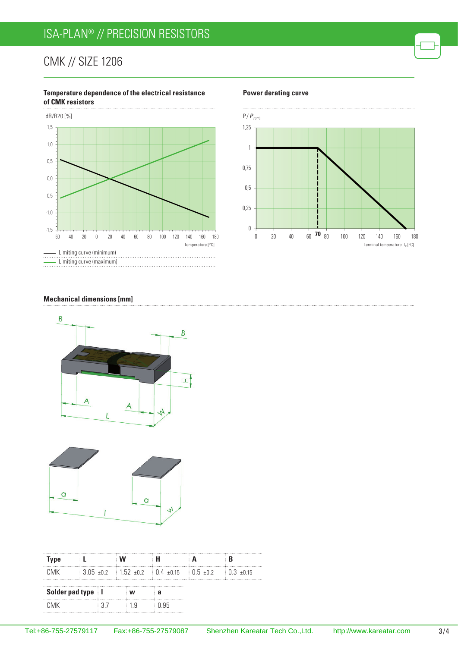# ISA-PLAN® // Precision resistors

## CMK // Size 1206

#### **Temperature dependence of the electrical resistance of CMK resistors**



#### **Power derating curve**



#### **Mechanical dimensions [mm]**





| Type                |  |  |                                                                            |     |      |                          |
|---------------------|--|--|----------------------------------------------------------------------------|-----|------|--------------------------|
| <b>CMK</b>          |  |  | $\frac{1}{2}$ 3.05 $\pm$ 0.2 1.52 $\pm$ 0.2 10.4 $\pm$ 0.15 10.5 $\pm$ 0.2 |     |      | $\frac{1}{2}$ 0.3 + 0.15 |
| Solder pad type   I |  |  | w                                                                          |     |      |                          |
| ∩MK                 |  |  |                                                                            | 1 Q | በ ዓ5 |                          |